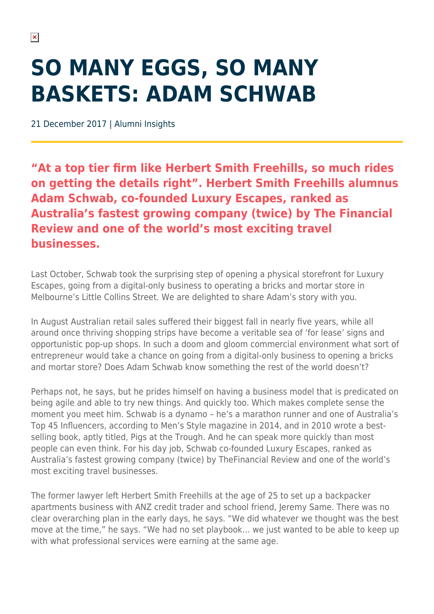## **SO MANY EGGS, SO MANY BASKETS: ADAM SCHWAB**

21 December 2017 | Alumni Insights

**"At a top tier firm like Herbert Smith Freehills, so much rides on getting the details right". Herbert Smith Freehills alumnus Adam Schwab, co-founded Luxury Escapes, ranked as Australia's fastest growing company (twice) by The Financial Review and one of the world's most exciting travel businesses.**

Last October, Schwab took the surprising step of opening a physical storefront for Luxury Escapes, going from a digital-only business to operating a bricks and mortar store in Melbourne's Little Collins Street. We are delighted to share Adam's story with you.

In August Australian retail sales suffered their biggest fall in nearly five years, while all around once thriving shopping strips have become a veritable sea of 'for lease' signs and opportunistic pop-up shops. In such a doom and gloom commercial environment what sort of entrepreneur would take a chance on going from a digital-only business to opening a bricks and mortar store? Does Adam Schwab know something the rest of the world doesn't?

Perhaps not, he says, but he prides himself on having a business model that is predicated on being agile and able to try new things. And quickly too. Which makes complete sense the moment you meet him. Schwab is a dynamo – he's a marathon runner and one of Australia's Top 45 Influencers, according to Men's Style magazine in 2014, and in 2010 wrote a bestselling book, aptly titled, Pigs at the Trough. And he can speak more quickly than most people can even think. For his day job, Schwab co-founded Luxury Escapes, ranked as Australia's fastest growing company (twice) by TheFinancial Review and one of the world's most exciting travel businesses.

The former lawyer left Herbert Smith Freehills at the age of 25 to set up a backpacker apartments business with ANZ credit trader and school friend, Jeremy Same. There was no clear overarching plan in the early days, he says. "We did whatever we thought was the best move at the time," he says. "We had no set playbook… we just wanted to be able to keep up with what professional services were earning at the same age.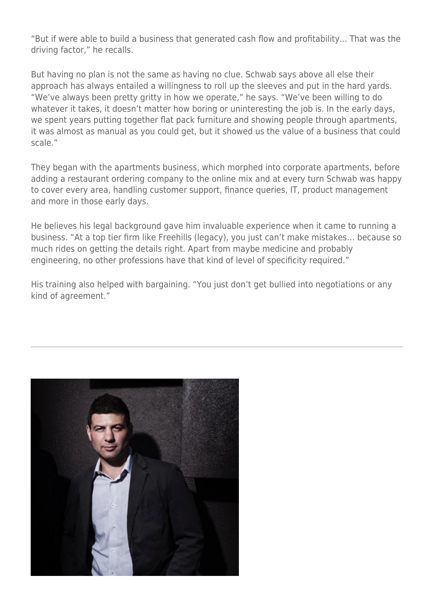"But if were able to build a business that generated cash flow and profitability... That was the driving factor," he recalls.

But having no plan is not the same as having no clue. Schwab says above all else their approach has always entailed a willingness to roll up the sleeves and put in the hard yards. "We've always been pretty gritty in how we operate," he says. "We've been willing to do whatever it takes, it doesn't matter how boring or uninteresting the job is. In the early days, we spent years putting together flat pack furniture and showing people through apartments, it was almost as manual as you could get, but it showed us the value of a business that could scale."

They began with the apartments business, which morphed into corporate apartments, before adding a restaurant ordering company to the online mix and at every turn Schwab was happy to cover every area, handling customer support, finance queries, IT, product management and more in those early days.

He believes his legal background gave him invaluable experience when it came to running a business. "At a top tier firm like Freehills (legacy), you just can't make mistakes… because so much rides on getting the details right. Apart from maybe medicine and probably engineering, no other professions have that kind of level of specificity required."

His training also helped with bargaining. "You just don't get bullied into negotiations or any kind of agreement."

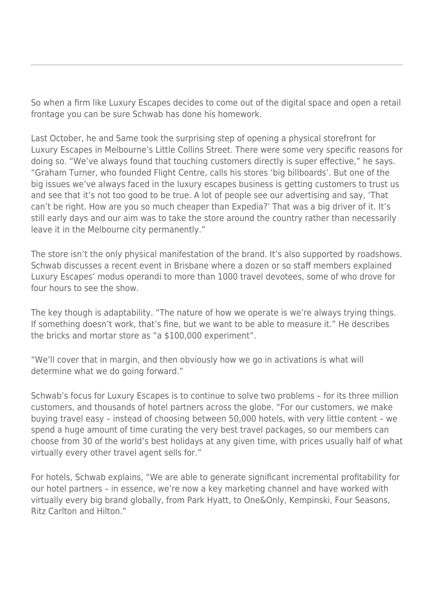So when a firm like Luxury Escapes decides to come out of the digital space and open a retail frontage you can be sure Schwab has done his homework.

Last October, he and Same took the surprising step of opening a physical storefront for Luxury Escapes in Melbourne's Little Collins Street. There were some very specific reasons for doing so. "We've always found that touching customers directly is super effective," he says. "Graham Turner, who founded Flight Centre, calls his stores 'big billboards'. But one of the big issues we've always faced in the luxury escapes business is getting customers to trust us and see that it's not too good to be true. A lot of people see our advertising and say, 'That can't be right. How are you so much cheaper than Expedia?' That was a big driver of it. It's still early days and our aim was to take the store around the country rather than necessarily leave it in the Melbourne city permanently."

The store isn't the only physical manifestation of the brand. It's also supported by roadshows. Schwab discusses a recent event in Brisbane where a dozen or so staff members explained Luxury Escapes' modus operandi to more than 1000 travel devotees, some of who drove for four hours to see the show.

The key though is adaptability. "The nature of how we operate is we're always trying things. If something doesn't work, that's fine, but we want to be able to measure it." He describes the bricks and mortar store as "a \$100,000 experiment".

"We'll cover that in margin, and then obviously how we go in activations is what will determine what we do going forward."

Schwab's focus for Luxury Escapes is to continue to solve two problems – for its three million customers, and thousands of hotel partners across the globe. "For our customers, we make buying travel easy – instead of choosing between 50,000 hotels, with very little content – we spend a huge amount of time curating the very best travel packages, so our members can choose from 30 of the world's best holidays at any given time, with prices usually half of what virtually every other travel agent sells for."

For hotels, Schwab explains, "We are able to generate significant incremental profitability for our hotel partners – in essence, we're now a key marketing channel and have worked with virtually every big brand globally, from Park Hyatt, to One&Only, Kempinski, Four Seasons, Ritz Carlton and Hilton."